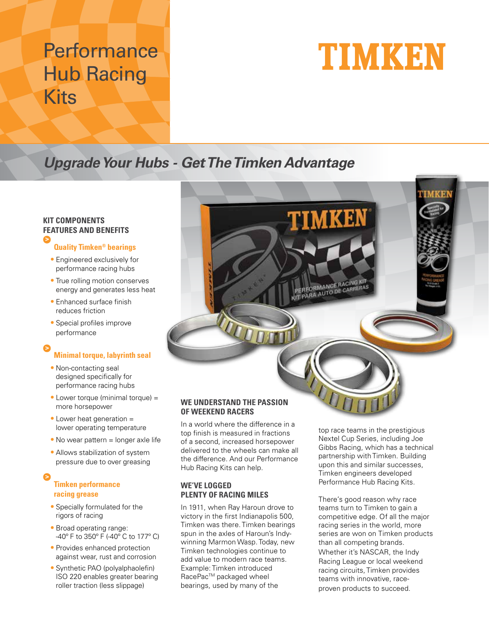## **Performance** Hub Racing Kits

# TIMKEN

TIMKEN

PERFORMANCE RACING KE PERFORMANCE RACING N

## **Upgrade Your Hubs - Get The Timken Advantage**

### **KIT COMPONENTS FEATURES AND BENEFITS**

#### **Quality Timken® bearings**

- Engineered exclusively for performance racing hubs
- True rolling motion conserves energy and generates less heat
- Enhanced surface finish reduces friction
- Special profiles improve performance

#### **Minimal torque, labyrinth seal >**

- Non-contacting seal designed specifically for performance racing hubs
- Lower torque (minimal torque) = more horsepower
- Lower heat generation = lower operating temperature
- No wear pattern = longer axle life
- Allows stabilization of system pressure due to over greasing

### **Timken performance racing grease**

- Specially formulated for the rigors of racing
- Broad operating range: -40º F to 350º F (-40º C to 177º C)
- Provides enhanced protection against wear, rust and corrosion
- Synthetic PAO (polyalphaolefin) ISO 220 enables greater bearing roller traction (less slippage)

#### **WE UNDERSTAND THE PASSION OF WEEKEND RACERS**

In a world where the difference in a top finish is measured in fractions of a second, increased horsepower delivered to the wheels can make all the difference. And our Performance Hub Racing Kits can help.

#### **WE'VE LOGGED PLENTY OF RACING MILES**

In 1911, when Ray Haroun drove to victory in the first Indianapolis 500, Timken was there. Timken bearings spun in the axles of Haroun's Indywinning Marmon Wasp. Today, new Timken technologies continue to add value to modern race teams. Example: Timken introduced RacePac™ packaged wheel bearings, used by many of the

top race teams in the prestigious Nextel Cup Series, including Joe Gibbs Racing, which has a technical partnership with Timken. Building upon this and similar successes, Timken engineers developed Performance Hub Racing Kits.

There's good reason why race teams turn to Timken to gain a competitive edge. Of all the major racing series in the world, more series are won on Timken products than all competing brands. Whether it's NASCAR, the Indy Racing League or local weekend racing circuits, Timken provides teams with innovative, raceproven products to succeed.